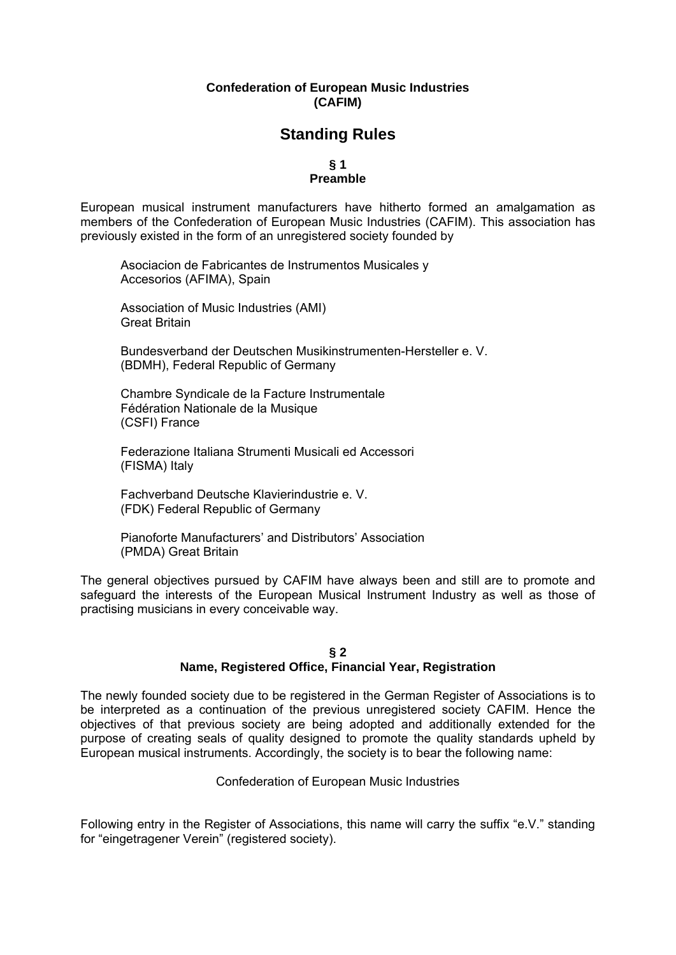## **Confederation of European Music Industries (CAFIM)**

## **Standing Rules**

# **§ 1**

## **Preamble**

European musical instrument manufacturers have hitherto formed an amalgamation as members of the Confederation of European Music Industries (CAFIM). This association has previously existed in the form of an unregistered society founded by

Asociacion de Fabricantes de Instrumentos Musicales y Accesorios (AFIMA), Spain

Association of Music Industries (AMI) Great Britain

Bundesverband der Deutschen Musikinstrumenten-Hersteller e. V. (BDMH), Federal Republic of Germany

Chambre Syndicale de la Facture Instrumentale Fédération Nationale de la Musique (CSFI) France

Federazione Italiana Strumenti Musicali ed Accessori (FISMA) Italy

Fachverband Deutsche Klavierindustrie e. V. (FDK) Federal Republic of Germany

Pianoforte Manufacturers' and Distributors' Association (PMDA) Great Britain

The general objectives pursued by CAFIM have always been and still are to promote and safeguard the interests of the European Musical Instrument Industry as well as those of practising musicians in every conceivable way.

### **§ 2 Name, Registered Office, Financial Year, Registration**

The newly founded society due to be registered in the German Register of Associations is to be interpreted as a continuation of the previous unregistered society CAFIM. Hence the objectives of that previous society are being adopted and additionally extended for the purpose of creating seals of quality designed to promote the quality standards upheld by European musical instruments. Accordingly, the society is to bear the following name:

Confederation of European Music Industries

Following entry in the Register of Associations, this name will carry the suffix "e.V." standing for "eingetragener Verein" (registered society).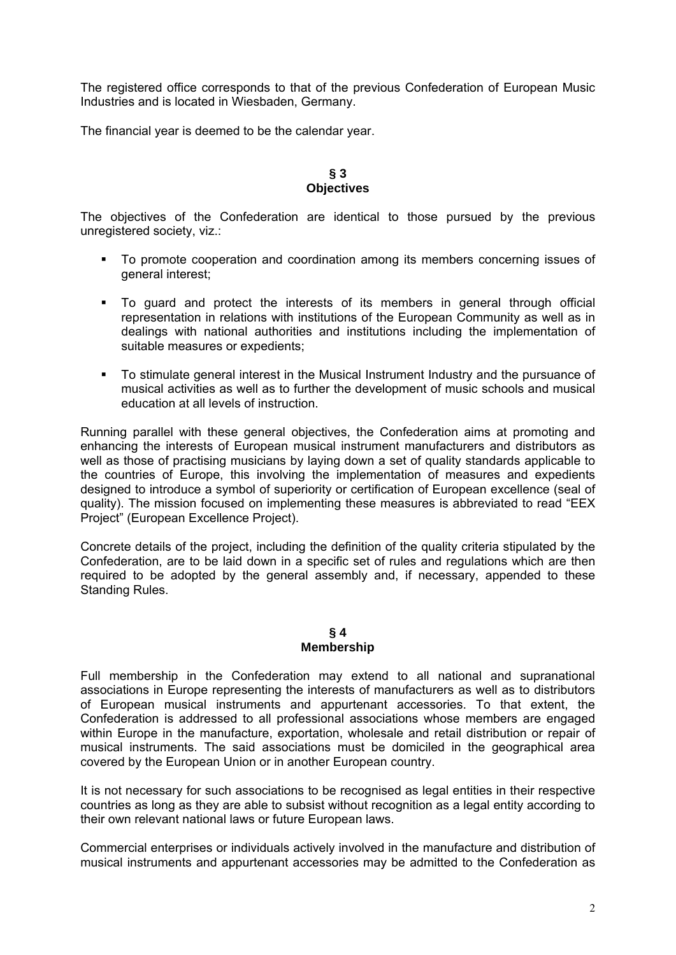The registered office corresponds to that of the previous Confederation of European Music Industries and is located in Wiesbaden, Germany.

The financial year is deemed to be the calendar year.

## **§ 3 Objectives**

The objectives of the Confederation are identical to those pursued by the previous unregistered society, viz.:

- To promote cooperation and coordination among its members concerning issues of general interest;
- To guard and protect the interests of its members in general through official representation in relations with institutions of the European Community as well as in dealings with national authorities and institutions including the implementation of suitable measures or expedients;
- To stimulate general interest in the Musical Instrument Industry and the pursuance of musical activities as well as to further the development of music schools and musical education at all levels of instruction.

Running parallel with these general objectives, the Confederation aims at promoting and enhancing the interests of European musical instrument manufacturers and distributors as well as those of practising musicians by laying down a set of quality standards applicable to the countries of Europe, this involving the implementation of measures and expedients designed to introduce a symbol of superiority or certification of European excellence (seal of quality). The mission focused on implementing these measures is abbreviated to read "EEX Project" (European Excellence Project).

Concrete details of the project, including the definition of the quality criteria stipulated by the Confederation, are to be laid down in a specific set of rules and regulations which are then required to be adopted by the general assembly and, if necessary, appended to these Standing Rules.

### **§ 4 Membership**

Full membership in the Confederation may extend to all national and supranational associations in Europe representing the interests of manufacturers as well as to distributors of European musical instruments and appurtenant accessories. To that extent, the Confederation is addressed to all professional associations whose members are engaged within Europe in the manufacture, exportation, wholesale and retail distribution or repair of musical instruments. The said associations must be domiciled in the geographical area covered by the European Union or in another European country.

It is not necessary for such associations to be recognised as legal entities in their respective countries as long as they are able to subsist without recognition as a legal entity according to their own relevant national laws or future European laws.

Commercial enterprises or individuals actively involved in the manufacture and distribution of musical instruments and appurtenant accessories may be admitted to the Confederation as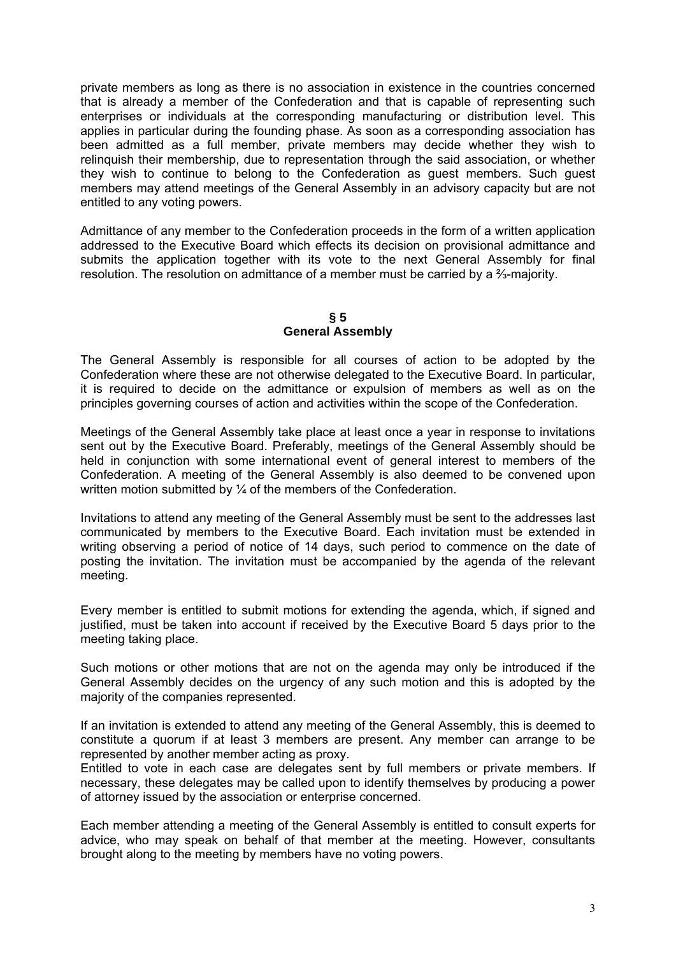private members as long as there is no association in existence in the countries concerned that is already a member of the Confederation and that is capable of representing such enterprises or individuals at the corresponding manufacturing or distribution level. This applies in particular during the founding phase. As soon as a corresponding association has been admitted as a full member, private members may decide whether they wish to relinquish their membership, due to representation through the said association, or whether they wish to continue to belong to the Confederation as guest members. Such guest members may attend meetings of the General Assembly in an advisory capacity but are not entitled to any voting powers.

Admittance of any member to the Confederation proceeds in the form of a written application addressed to the Executive Board which effects its decision on provisional admittance and submits the application together with its vote to the next General Assembly for final resolution. The resolution on admittance of a member must be carried by a  $\frac{2}{3}$ -majority.

## **§ 5 General Assembly**

The General Assembly is responsible for all courses of action to be adopted by the Confederation where these are not otherwise delegated to the Executive Board. In particular, it is required to decide on the admittance or expulsion of members as well as on the principles governing courses of action and activities within the scope of the Confederation.

Meetings of the General Assembly take place at least once a year in response to invitations sent out by the Executive Board. Preferably, meetings of the General Assembly should be held in conjunction with some international event of general interest to members of the Confederation. A meeting of the General Assembly is also deemed to be convened upon written motion submitted by 1/4 of the members of the Confederation.

Invitations to attend any meeting of the General Assembly must be sent to the addresses last communicated by members to the Executive Board. Each invitation must be extended in writing observing a period of notice of 14 days, such period to commence on the date of posting the invitation. The invitation must be accompanied by the agenda of the relevant meeting.

Every member is entitled to submit motions for extending the agenda, which, if signed and justified, must be taken into account if received by the Executive Board 5 days prior to the meeting taking place.

Such motions or other motions that are not on the agenda may only be introduced if the General Assembly decides on the urgency of any such motion and this is adopted by the majority of the companies represented.

If an invitation is extended to attend any meeting of the General Assembly, this is deemed to constitute a quorum if at least 3 members are present. Any member can arrange to be represented by another member acting as proxy.

Entitled to vote in each case are delegates sent by full members or private members. If necessary, these delegates may be called upon to identify themselves by producing a power of attorney issued by the association or enterprise concerned.

Each member attending a meeting of the General Assembly is entitled to consult experts for advice, who may speak on behalf of that member at the meeting. However, consultants brought along to the meeting by members have no voting powers.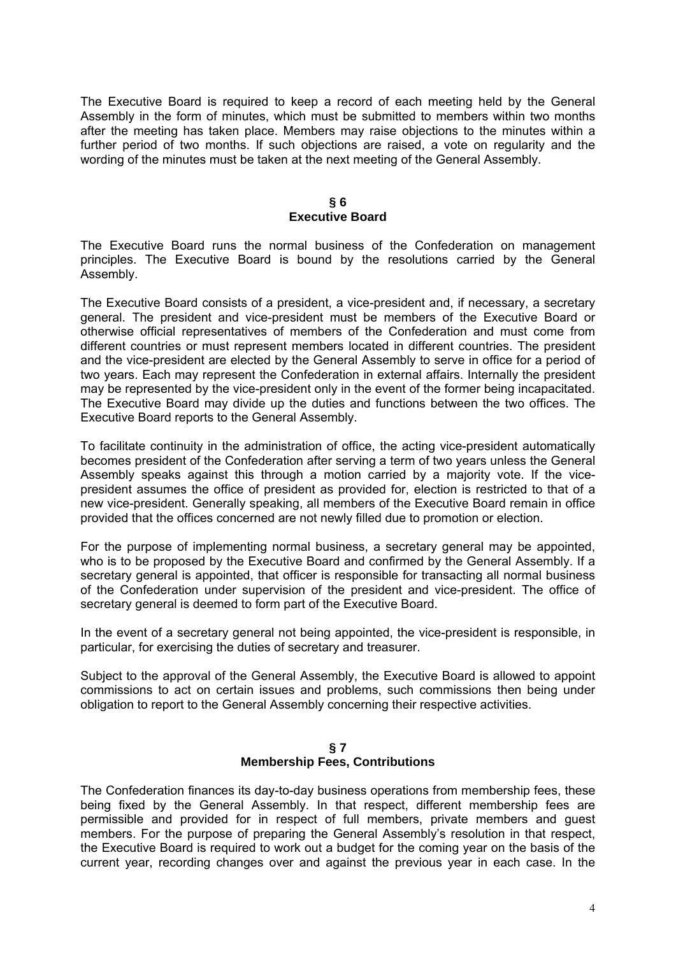The Executive Board is required to keep a record of each meeting held by the General Assembly in the form of minutes, which must be submitted to members within two months after the meeting has taken place. Members may raise objections to the minutes within a further period of two months. If such objections are raised, a vote on regularity and the wording of the minutes must be taken at the next meeting of the General Assembly.

### **§ 6 Executive Board**

The Executive Board runs the normal business of the Confederation on management principles. The Executive Board is bound by the resolutions carried by the General Assembly.

The Executive Board consists of a president, a vice-president and, if necessary, a secretary general. The president and vice-president must be members of the Executive Board or otherwise official representatives of members of the Confederation and must come from different countries or must represent members located in different countries. The president and the vice-president are elected by the General Assembly to serve in office for a period of two years. Each may represent the Confederation in external affairs. Internally the president may be represented by the vice-president only in the event of the former being incapacitated. The Executive Board may divide up the duties and functions between the two offices. The Executive Board reports to the General Assembly.

To facilitate continuity in the administration of office, the acting vice-president automatically becomes president of the Confederation after serving a term of two years unless the General Assembly speaks against this through a motion carried by a majority vote. If the vicepresident assumes the office of president as provided for, election is restricted to that of a new vice-president. Generally speaking, all members of the Executive Board remain in office provided that the offices concerned are not newly filled due to promotion or election.

For the purpose of implementing normal business, a secretary general may be appointed, who is to be proposed by the Executive Board and confirmed by the General Assembly. If a secretary general is appointed, that officer is responsible for transacting all normal business of the Confederation under supervision of the president and vice-president. The office of secretary general is deemed to form part of the Executive Board.

In the event of a secretary general not being appointed, the vice-president is responsible, in particular, for exercising the duties of secretary and treasurer.

Subject to the approval of the General Assembly, the Executive Board is allowed to appoint commissions to act on certain issues and problems, such commissions then being under obligation to report to the General Assembly concerning their respective activities.

### **§ 7 Membership Fees, Contributions**

The Confederation finances its day-to-day business operations from membership fees, these being fixed by the General Assembly. In that respect, different membership fees are permissible and provided for in respect of full members, private members and guest members. For the purpose of preparing the General Assembly's resolution in that respect, the Executive Board is required to work out a budget for the coming year on the basis of the current year, recording changes over and against the previous year in each case. In the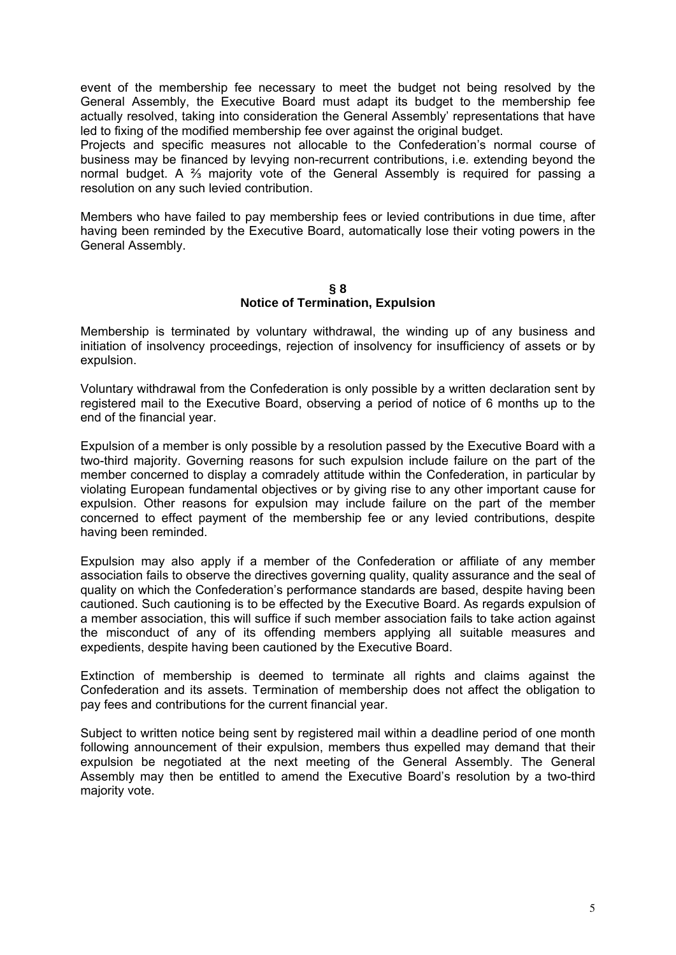event of the membership fee necessary to meet the budget not being resolved by the General Assembly, the Executive Board must adapt its budget to the membership fee actually resolved, taking into consideration the General Assembly' representations that have led to fixing of the modified membership fee over against the original budget.

Projects and specific measures not allocable to the Confederation's normal course of business may be financed by levying non-recurrent contributions, i.e. extending beyond the normal budget. A <sup>3</sup>/<sub>3</sub> majority vote of the General Assembly is required for passing a resolution on any such levied contribution.

Members who have failed to pay membership fees or levied contributions in due time, after having been reminded by the Executive Board, automatically lose their voting powers in the General Assembly.

#### **§ 8 Notice of Termination, Expulsion**

Membership is terminated by voluntary withdrawal, the winding up of any business and initiation of insolvency proceedings, rejection of insolvency for insufficiency of assets or by expulsion.

Voluntary withdrawal from the Confederation is only possible by a written declaration sent by registered mail to the Executive Board, observing a period of notice of 6 months up to the end of the financial year.

Expulsion of a member is only possible by a resolution passed by the Executive Board with a two-third majority. Governing reasons for such expulsion include failure on the part of the member concerned to display a comradely attitude within the Confederation, in particular by violating European fundamental objectives or by giving rise to any other important cause for expulsion. Other reasons for expulsion may include failure on the part of the member concerned to effect payment of the membership fee or any levied contributions, despite having been reminded.

Expulsion may also apply if a member of the Confederation or affiliate of any member association fails to observe the directives governing quality, quality assurance and the seal of quality on which the Confederation's performance standards are based, despite having been cautioned. Such cautioning is to be effected by the Executive Board. As regards expulsion of a member association, this will suffice if such member association fails to take action against the misconduct of any of its offending members applying all suitable measures and expedients, despite having been cautioned by the Executive Board.

Extinction of membership is deemed to terminate all rights and claims against the Confederation and its assets. Termination of membership does not affect the obligation to pay fees and contributions for the current financial year.

Subject to written notice being sent by registered mail within a deadline period of one month following announcement of their expulsion, members thus expelled may demand that their expulsion be negotiated at the next meeting of the General Assembly. The General Assembly may then be entitled to amend the Executive Board's resolution by a two-third majority vote.